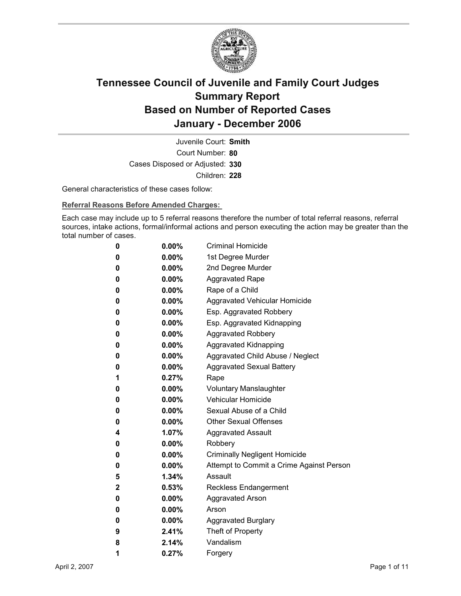

Court Number: **80** Juvenile Court: **Smith** Cases Disposed or Adjusted: **330** Children: **228**

General characteristics of these cases follow:

**Referral Reasons Before Amended Charges:** 

Each case may include up to 5 referral reasons therefore the number of total referral reasons, referral sources, intake actions, formal/informal actions and person executing the action may be greater than the total number of cases.

| 0 | 0.00%    | <b>Criminal Homicide</b>                 |
|---|----------|------------------------------------------|
| 0 | 0.00%    | 1st Degree Murder                        |
| 0 | $0.00\%$ | 2nd Degree Murder                        |
| 0 | $0.00\%$ | <b>Aggravated Rape</b>                   |
| 0 | $0.00\%$ | Rape of a Child                          |
| 0 | $0.00\%$ | Aggravated Vehicular Homicide            |
| 0 | $0.00\%$ | Esp. Aggravated Robbery                  |
| 0 | $0.00\%$ | Esp. Aggravated Kidnapping               |
| 0 | $0.00\%$ | <b>Aggravated Robbery</b>                |
| 0 | $0.00\%$ | <b>Aggravated Kidnapping</b>             |
| 0 | $0.00\%$ | Aggravated Child Abuse / Neglect         |
| 0 | 0.00%    | <b>Aggravated Sexual Battery</b>         |
| 1 | 0.27%    | Rape                                     |
| 0 | $0.00\%$ | <b>Voluntary Manslaughter</b>            |
| 0 | $0.00\%$ | <b>Vehicular Homicide</b>                |
| 0 | $0.00\%$ | Sexual Abuse of a Child                  |
| 0 | $0.00\%$ | <b>Other Sexual Offenses</b>             |
| 4 | 1.07%    | <b>Aggravated Assault</b>                |
| 0 | $0.00\%$ | Robbery                                  |
| 0 | 0.00%    | <b>Criminally Negligent Homicide</b>     |
| 0 | $0.00\%$ | Attempt to Commit a Crime Against Person |
| 5 | 1.34%    | Assault                                  |
| 2 | 0.53%    | Reckless Endangerment                    |
| 0 | $0.00\%$ | <b>Aggravated Arson</b>                  |
| 0 | $0.00\%$ | Arson                                    |
| 0 | $0.00\%$ | <b>Aggravated Burglary</b>               |
| 9 | 2.41%    | Theft of Property                        |
| 8 | 2.14%    | Vandalism                                |
| 1 | 0.27%    | Forgery                                  |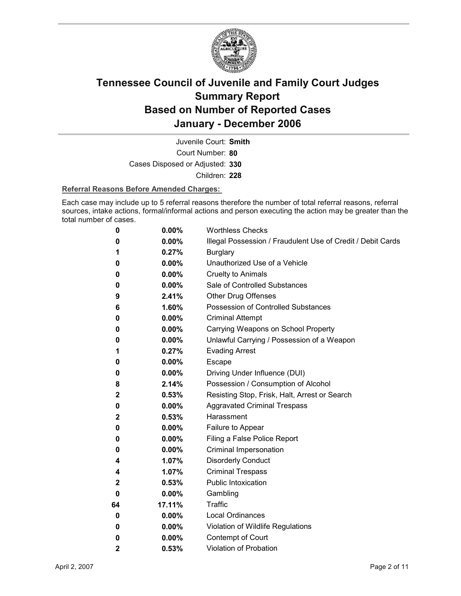

Court Number: **80** Juvenile Court: **Smith** Cases Disposed or Adjusted: **330** Children: **228**

### **Referral Reasons Before Amended Charges:**

Each case may include up to 5 referral reasons therefore the number of total referral reasons, referral sources, intake actions, formal/informal actions and person executing the action may be greater than the total number of cases.

| 0            | 0.00%    | <b>Worthless Checks</b>                                     |
|--------------|----------|-------------------------------------------------------------|
| 0            | $0.00\%$ | Illegal Possession / Fraudulent Use of Credit / Debit Cards |
| 1            | 0.27%    | <b>Burglary</b>                                             |
| 0            | $0.00\%$ | Unauthorized Use of a Vehicle                               |
| 0            | $0.00\%$ | <b>Cruelty to Animals</b>                                   |
| 0            | $0.00\%$ | Sale of Controlled Substances                               |
| 9            | 2.41%    | Other Drug Offenses                                         |
| 6            | 1.60%    | Possession of Controlled Substances                         |
| 0            | $0.00\%$ | <b>Criminal Attempt</b>                                     |
| 0            | $0.00\%$ | Carrying Weapons on School Property                         |
| 0            | $0.00\%$ | Unlawful Carrying / Possession of a Weapon                  |
| 1            | 0.27%    | <b>Evading Arrest</b>                                       |
| 0            | $0.00\%$ | <b>Escape</b>                                               |
| 0            | $0.00\%$ | Driving Under Influence (DUI)                               |
| 8            | 2.14%    | Possession / Consumption of Alcohol                         |
| $\mathbf{2}$ | 0.53%    | Resisting Stop, Frisk, Halt, Arrest or Search               |
| 0            | $0.00\%$ | <b>Aggravated Criminal Trespass</b>                         |
| $\mathbf{2}$ | 0.53%    | Harassment                                                  |
| 0            | 0.00%    | Failure to Appear                                           |
| 0            | $0.00\%$ | Filing a False Police Report                                |
| 0            | $0.00\%$ | Criminal Impersonation                                      |
| 4            | 1.07%    | <b>Disorderly Conduct</b>                                   |
| 4            | 1.07%    | <b>Criminal Trespass</b>                                    |
| $\mathbf{2}$ | 0.53%    | <b>Public Intoxication</b>                                  |
| 0            | $0.00\%$ | Gambling                                                    |
| 64           | 17.11%   | <b>Traffic</b>                                              |
| 0            | 0.00%    | <b>Local Ordinances</b>                                     |
| 0            | $0.00\%$ | Violation of Wildlife Regulations                           |
| 0            | 0.00%    | Contempt of Court                                           |
| $\mathbf{2}$ | 0.53%    | Violation of Probation                                      |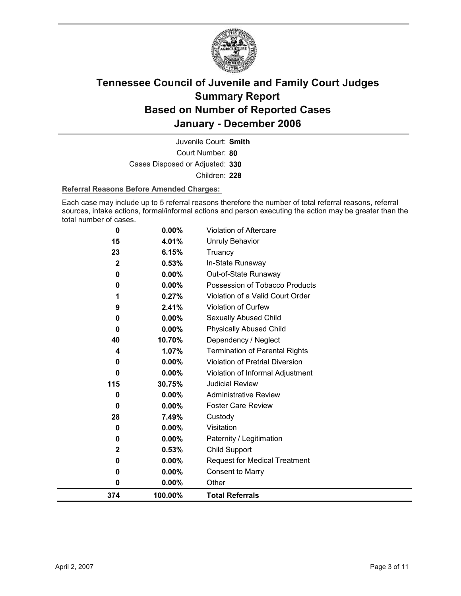

Court Number: **80** Juvenile Court: **Smith** Cases Disposed or Adjusted: **330** Children: **228**

### **Referral Reasons Before Amended Charges:**

Each case may include up to 5 referral reasons therefore the number of total referral reasons, referral sources, intake actions, formal/informal actions and person executing the action may be greater than the total number of cases.

| 23           | 6.15%    | Truancy                               |
|--------------|----------|---------------------------------------|
| $\mathbf{2}$ | 0.53%    | In-State Runaway                      |
| 0            | 0.00%    | Out-of-State Runaway                  |
| $\bf{0}$     | $0.00\%$ | Possession of Tobacco Products        |
| 1            | 0.27%    | Violation of a Valid Court Order      |
| 9            | 2.41%    | Violation of Curfew                   |
| 0            | 0.00%    | Sexually Abused Child                 |
| $\bf{0}$     | 0.00%    | <b>Physically Abused Child</b>        |
| 40           | 10.70%   | Dependency / Neglect                  |
| 4            | 1.07%    | <b>Termination of Parental Rights</b> |
| 0            | 0.00%    | Violation of Pretrial Diversion       |
| $\bf{0}$     | 0.00%    | Violation of Informal Adjustment      |
| 115          | 30.75%   | <b>Judicial Review</b>                |
| 0            | 0.00%    | <b>Administrative Review</b>          |
| 0            | $0.00\%$ | <b>Foster Care Review</b>             |
| 28           | 7.49%    | Custody                               |
| 0            | 0.00%    | Visitation                            |
| 0            | 0.00%    | Paternity / Legitimation              |
| $\mathbf 2$  | 0.53%    | Child Support                         |
| 0            | $0.00\%$ | <b>Request for Medical Treatment</b>  |
| 0            | 0.00%    | <b>Consent to Marry</b>               |
| 0            | 0.00%    | Other                                 |
| 374          | 100.00%  | <b>Total Referrals</b>                |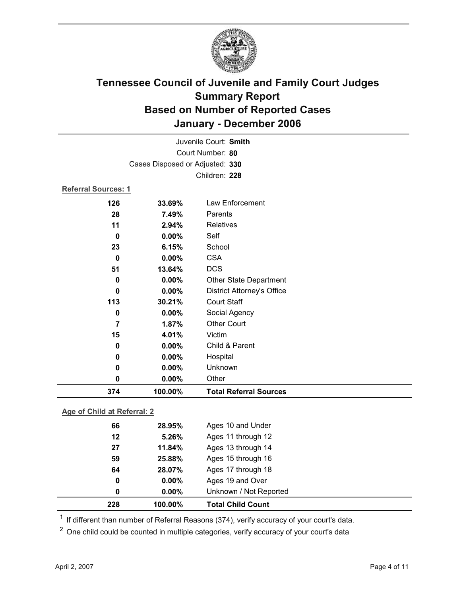

|                             |                                 | Juvenile Court: Smith             |  |
|-----------------------------|---------------------------------|-----------------------------------|--|
|                             |                                 | Court Number: 80                  |  |
|                             | Cases Disposed or Adjusted: 330 |                                   |  |
|                             |                                 | Children: 228                     |  |
| Referral Sources: 1         |                                 |                                   |  |
| 126                         | 33.69%                          | Law Enforcement                   |  |
| 28                          | 7.49%                           | Parents                           |  |
| 11                          | 2.94%                           | Relatives                         |  |
| $\mathbf 0$                 | 0.00%                           | Self                              |  |
| 23                          | 6.15%                           | School                            |  |
| $\bf{0}$                    | 0.00%                           | <b>CSA</b>                        |  |
| 51                          | 13.64%                          | <b>DCS</b>                        |  |
| $\bf{0}$                    | 0.00%                           | Other State Department            |  |
| $\mathbf 0$                 | 0.00%                           | <b>District Attorney's Office</b> |  |
| 113                         | 30.21%                          | <b>Court Staff</b>                |  |
| 0                           | 0.00%                           | Social Agency                     |  |
| $\overline{7}$              | 1.87%                           | <b>Other Court</b>                |  |
| 15                          | 4.01%                           | Victim                            |  |
| 0                           | 0.00%                           | Child & Parent                    |  |
| 0                           | 0.00%                           | Hospital                          |  |
| 0                           | 0.00%                           | Unknown                           |  |
| $\mathbf 0$                 | 0.00%                           | Other                             |  |
| 374                         | 100.00%                         | <b>Total Referral Sources</b>     |  |
| Age of Child at Referral: 2 |                                 |                                   |  |

**Age of Child at Referral: 2**

| 228 | 100.00%  | <b>Total Child Count</b> |  |
|-----|----------|--------------------------|--|
| 0   | $0.00\%$ | Unknown / Not Reported   |  |
| 0   | $0.00\%$ | Ages 19 and Over         |  |
| 64  | 28.07%   | Ages 17 through 18       |  |
| 59  | 25.88%   | Ages 15 through 16       |  |
| 27  | 11.84%   | Ages 13 through 14       |  |
| 12  | 5.26%    | Ages 11 through 12       |  |
| 66  | 28.95%   | Ages 10 and Under        |  |
|     |          |                          |  |

 $1$  If different than number of Referral Reasons (374), verify accuracy of your court's data.

<sup>2</sup> One child could be counted in multiple categories, verify accuracy of your court's data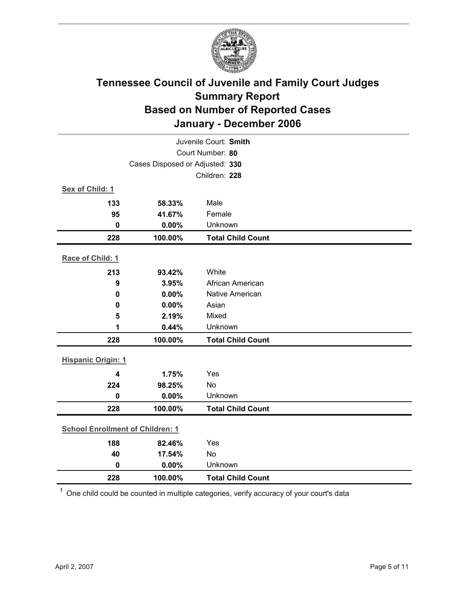

| Juvenile Court: Smith                   |         |                          |  |
|-----------------------------------------|---------|--------------------------|--|
| Court Number: 80                        |         |                          |  |
| Cases Disposed or Adjusted: 330         |         |                          |  |
|                                         |         | Children: 228            |  |
| Sex of Child: 1                         |         |                          |  |
| 133                                     | 58.33%  | Male                     |  |
| 95                                      | 41.67%  | Female                   |  |
| $\mathbf 0$                             | 0.00%   | Unknown                  |  |
| 228                                     | 100.00% | <b>Total Child Count</b> |  |
| Race of Child: 1                        |         |                          |  |
| 213                                     | 93.42%  | White                    |  |
| 9                                       | 3.95%   | African American         |  |
| 0                                       | 0.00%   | Native American          |  |
| 0                                       | 0.00%   | Asian                    |  |
| 5                                       | 2.19%   | Mixed                    |  |
| 1                                       | 0.44%   | Unknown                  |  |
| 228                                     | 100.00% | <b>Total Child Count</b> |  |
| <b>Hispanic Origin: 1</b>               |         |                          |  |
| 4                                       | 1.75%   | Yes                      |  |
| 224                                     | 98.25%  | No                       |  |
| $\mathbf 0$                             | 0.00%   | Unknown                  |  |
| 228                                     | 100.00% | <b>Total Child Count</b> |  |
| <b>School Enrollment of Children: 1</b> |         |                          |  |
| 188                                     | 82.46%  | Yes                      |  |
| 40                                      | 17.54%  | No                       |  |
| $\mathbf 0$                             | 0.00%   | Unknown                  |  |
| 228                                     | 100.00% | <b>Total Child Count</b> |  |

 $1$  One child could be counted in multiple categories, verify accuracy of your court's data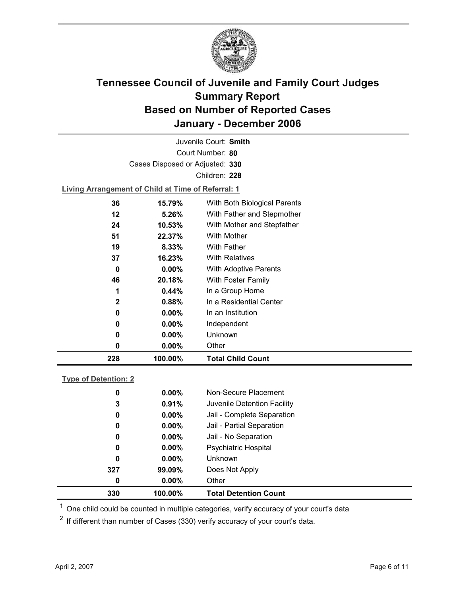

Court Number: **80** Juvenile Court: **Smith** Cases Disposed or Adjusted: **330** Children: **228**

**Living Arrangement of Child at Time of Referral: 1**

| 228          | 100.00%  | <b>Total Child Count</b>     |
|--------------|----------|------------------------------|
| 0            | 0.00%    | Other                        |
| 0            | $0.00\%$ | Unknown                      |
| 0            | $0.00\%$ | Independent                  |
| 0            | $0.00\%$ | In an Institution            |
| $\mathbf{2}$ | 0.88%    | In a Residential Center      |
| 1            | 0.44%    | In a Group Home              |
| 46           | 20.18%   | With Foster Family           |
| 0            | $0.00\%$ | <b>With Adoptive Parents</b> |
| 37           | 16.23%   | <b>With Relatives</b>        |
| 19           | 8.33%    | With Father                  |
| 51           | 22.37%   | <b>With Mother</b>           |
| 24           | 10.53%   | With Mother and Stepfather   |
| 12           | $5.26\%$ | With Father and Stepmother   |
| 36           | 15.79%   | With Both Biological Parents |
|              |          |                              |

### **Type of Detention: 2**

| 330 | 100.00%  | <b>Total Detention Count</b> |  |
|-----|----------|------------------------------|--|
| 0   | $0.00\%$ | Other                        |  |
| 327 | 99.09%   | Does Not Apply               |  |
| 0   | $0.00\%$ | <b>Unknown</b>               |  |
| 0   | $0.00\%$ | <b>Psychiatric Hospital</b>  |  |
| 0   | $0.00\%$ | Jail - No Separation         |  |
| 0   | $0.00\%$ | Jail - Partial Separation    |  |
| 0   | $0.00\%$ | Jail - Complete Separation   |  |
| 3   | 0.91%    | Juvenile Detention Facility  |  |
| 0   | $0.00\%$ | Non-Secure Placement         |  |
|     |          |                              |  |

 $<sup>1</sup>$  One child could be counted in multiple categories, verify accuracy of your court's data</sup>

 $2$  If different than number of Cases (330) verify accuracy of your court's data.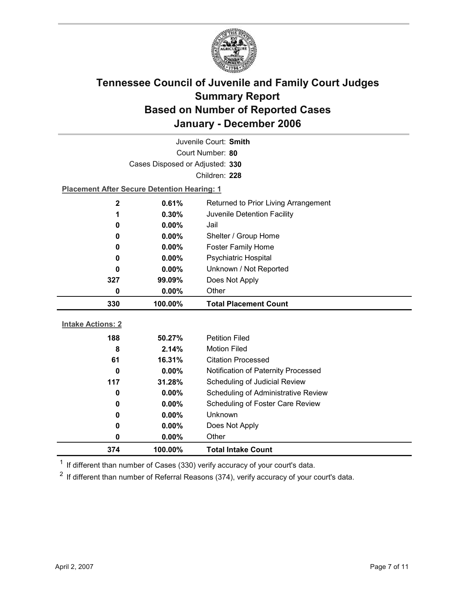

| Juvenile Court: Smith           |                                                    |                                            |  |  |
|---------------------------------|----------------------------------------------------|--------------------------------------------|--|--|
|                                 | Court Number: 80                                   |                                            |  |  |
| Cases Disposed or Adjusted: 330 |                                                    |                                            |  |  |
|                                 |                                                    | Children: 228                              |  |  |
|                                 | <b>Placement After Secure Detention Hearing: 1</b> |                                            |  |  |
| $\mathbf 2$                     | 0.61%                                              | Returned to Prior Living Arrangement       |  |  |
| 1                               | 0.30%                                              | Juvenile Detention Facility                |  |  |
| 0                               | 0.00%                                              | Jail                                       |  |  |
| 0                               | 0.00%                                              | Shelter / Group Home                       |  |  |
| 0                               | $0.00\%$                                           | <b>Foster Family Home</b>                  |  |  |
| 0                               | 0.00%                                              | Psychiatric Hospital                       |  |  |
| 0                               | 0.00%                                              | Unknown / Not Reported                     |  |  |
| 327                             | 99.09%                                             | Does Not Apply                             |  |  |
| 0                               | 0.00%                                              | Other                                      |  |  |
|                                 |                                                    |                                            |  |  |
| 330                             | 100.00%                                            | <b>Total Placement Count</b>               |  |  |
|                                 |                                                    |                                            |  |  |
| <b>Intake Actions: 2</b>        |                                                    |                                            |  |  |
| 188                             | 50.27%                                             | <b>Petition Filed</b>                      |  |  |
| 8                               | 2.14%                                              | <b>Motion Filed</b>                        |  |  |
| 61                              | 16.31%                                             | <b>Citation Processed</b>                  |  |  |
| $\bf{0}$                        | 0.00%                                              | Notification of Paternity Processed        |  |  |
| 117                             | 31.28%                                             | Scheduling of Judicial Review              |  |  |
| 0                               | $0.00\%$                                           | <b>Scheduling of Administrative Review</b> |  |  |
| 0                               | 0.00%                                              | Scheduling of Foster Care Review           |  |  |
| 0                               | 0.00%                                              | <b>Unknown</b>                             |  |  |
| 0                               | 0.00%                                              | Does Not Apply                             |  |  |
| 0<br>374                        | 0.00%<br>100.00%                                   | Other<br><b>Total Intake Count</b>         |  |  |

 $1$  If different than number of Cases (330) verify accuracy of your court's data.

 $2$  If different than number of Referral Reasons (374), verify accuracy of your court's data.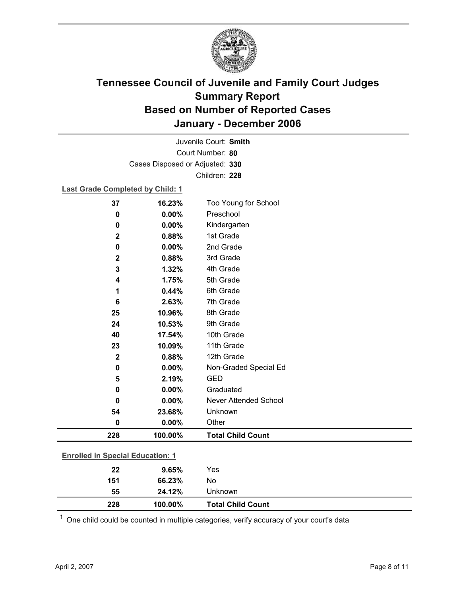

Court Number: **80** Juvenile Court: **Smith** Cases Disposed or Adjusted: **330** Children: **228**

### **Last Grade Completed by Child: 1**

| 37                                      | 16.23%  | Too Young for School         |
|-----------------------------------------|---------|------------------------------|
| 0                                       | 0.00%   | Preschool                    |
| $\mathbf 0$                             | 0.00%   | Kindergarten                 |
| $\mathbf 2$                             | 0.88%   | 1st Grade                    |
| $\bf{0}$                                | 0.00%   | 2nd Grade                    |
| $\mathbf{2}$                            | 0.88%   | 3rd Grade                    |
| 3                                       | 1.32%   | 4th Grade                    |
| 4                                       | 1.75%   | 5th Grade                    |
| 1                                       | 0.44%   | 6th Grade                    |
| $6\phantom{1}6$                         | 2.63%   | 7th Grade                    |
| 25                                      | 10.96%  | 8th Grade                    |
| 24                                      | 10.53%  | 9th Grade                    |
| 40                                      | 17.54%  | 10th Grade                   |
| 23                                      | 10.09%  | 11th Grade                   |
| $\mathbf{2}$                            | 0.88%   | 12th Grade                   |
| $\pmb{0}$                               | 0.00%   | Non-Graded Special Ed        |
| 5                                       | 2.19%   | <b>GED</b>                   |
| $\mathbf 0$                             | 0.00%   | Graduated                    |
| $\bf{0}$                                | 0.00%   | <b>Never Attended School</b> |
| 54                                      | 23.68%  | Unknown                      |
| 0                                       | 0.00%   | Other                        |
| 228                                     | 100.00% | <b>Total Child Count</b>     |
| <b>Enrolled in Special Education: 1</b> |         |                              |
|                                         |         |                              |
| 22                                      | 9.65%   | Yes                          |

| 55  | 24.12%  | Jnknown                  |  |
|-----|---------|--------------------------|--|
| 228 | 100.00% | <b>Total Child Count</b> |  |
|     |         |                          |  |

 $1$  One child could be counted in multiple categories, verify accuracy of your court's data

**151 66.23%** No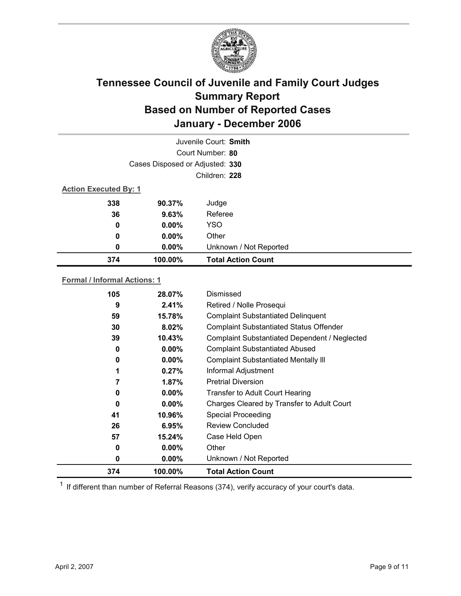

|                              | Juvenile Court: Smith           |                           |  |  |
|------------------------------|---------------------------------|---------------------------|--|--|
|                              |                                 | Court Number: 80          |  |  |
|                              | Cases Disposed or Adjusted: 330 |                           |  |  |
|                              |                                 | Children: 228             |  |  |
| <b>Action Executed By: 1</b> |                                 |                           |  |  |
| 338                          | 90.37%                          | Judge                     |  |  |
| 36                           | 9.63%                           | Referee                   |  |  |
| 0                            | $0.00\%$                        | <b>YSO</b>                |  |  |
| 0                            | $0.00\%$                        | Other                     |  |  |
| 0                            | 0.00%                           | Unknown / Not Reported    |  |  |
| 374                          | 100.00%                         | <b>Total Action Count</b> |  |  |

### **Formal / Informal Actions: 1**

| 105 | 28.07%   | Dismissed                                      |
|-----|----------|------------------------------------------------|
| 9   | 2.41%    | Retired / Nolle Prosequi                       |
| 59  | 15.78%   | <b>Complaint Substantiated Delinquent</b>      |
| 30  | 8.02%    | <b>Complaint Substantiated Status Offender</b> |
| 39  | 10.43%   | Complaint Substantiated Dependent / Neglected  |
| 0   | $0.00\%$ | <b>Complaint Substantiated Abused</b>          |
| 0   | $0.00\%$ | <b>Complaint Substantiated Mentally III</b>    |
| 1   | 0.27%    | Informal Adjustment                            |
|     | $1.87\%$ | <b>Pretrial Diversion</b>                      |
| 0   | $0.00\%$ | <b>Transfer to Adult Court Hearing</b>         |
| 0   | $0.00\%$ | Charges Cleared by Transfer to Adult Court     |
| 41  | 10.96%   | <b>Special Proceeding</b>                      |
| 26  | 6.95%    | <b>Review Concluded</b>                        |
| 57  | 15.24%   | Case Held Open                                 |
| 0   | $0.00\%$ | Other                                          |
| 0   | $0.00\%$ | Unknown / Not Reported                         |
| 374 | 100.00%  | <b>Total Action Count</b>                      |

 $1$  If different than number of Referral Reasons (374), verify accuracy of your court's data.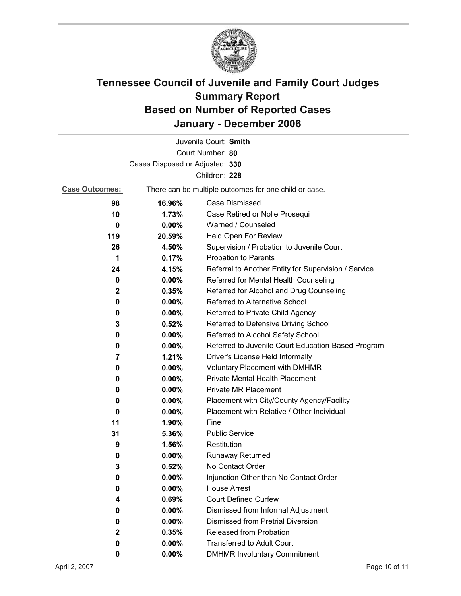

|                                 |                                                       | Juvenile Court: Smith                                |  |  |
|---------------------------------|-------------------------------------------------------|------------------------------------------------------|--|--|
|                                 |                                                       | Court Number: 80                                     |  |  |
| Cases Disposed or Adjusted: 330 |                                                       |                                                      |  |  |
|                                 |                                                       | Children: 228                                        |  |  |
| <b>Case Outcomes:</b>           | There can be multiple outcomes for one child or case. |                                                      |  |  |
| 98                              | 16.96%                                                | <b>Case Dismissed</b>                                |  |  |
| 10                              | 1.73%                                                 | Case Retired or Nolle Prosequi                       |  |  |
| 0                               | 0.00%                                                 | Warned / Counseled                                   |  |  |
| 119                             | 20.59%                                                | Held Open For Review                                 |  |  |
| 26                              | 4.50%                                                 | Supervision / Probation to Juvenile Court            |  |  |
| 1                               | 0.17%                                                 | <b>Probation to Parents</b>                          |  |  |
| 24                              | 4.15%                                                 | Referral to Another Entity for Supervision / Service |  |  |
| 0                               | $0.00\%$                                              | Referred for Mental Health Counseling                |  |  |
| $\mathbf 2$                     | 0.35%                                                 | Referred for Alcohol and Drug Counseling             |  |  |
| 0                               | 0.00%                                                 | Referred to Alternative School                       |  |  |
| 0                               | $0.00\%$                                              | Referred to Private Child Agency                     |  |  |
| 3                               | 0.52%                                                 | Referred to Defensive Driving School                 |  |  |
| 0                               | $0.00\%$                                              | Referred to Alcohol Safety School                    |  |  |
| 0                               | $0.00\%$                                              | Referred to Juvenile Court Education-Based Program   |  |  |
| 7                               | 1.21%                                                 | Driver's License Held Informally                     |  |  |
| 0                               | $0.00\%$                                              | <b>Voluntary Placement with DMHMR</b>                |  |  |
| 0                               | 0.00%                                                 | Private Mental Health Placement                      |  |  |
| 0                               | $0.00\%$                                              | <b>Private MR Placement</b>                          |  |  |
| 0                               | $0.00\%$                                              | Placement with City/County Agency/Facility           |  |  |
| 0                               | $0.00\%$                                              | Placement with Relative / Other Individual           |  |  |
| 11                              | 1.90%                                                 | Fine                                                 |  |  |
| 31                              | 5.36%                                                 | <b>Public Service</b>                                |  |  |
| 9                               | 1.56%                                                 | Restitution                                          |  |  |
| 0                               | $0.00\%$                                              | <b>Runaway Returned</b>                              |  |  |
| 3                               | 0.52%                                                 | No Contact Order                                     |  |  |
| 0                               | 0.00%                                                 | Injunction Other than No Contact Order               |  |  |
| 0                               | 0.00%                                                 | <b>House Arrest</b>                                  |  |  |
| 4                               | 0.69%                                                 | <b>Court Defined Curfew</b>                          |  |  |
| 0                               | 0.00%                                                 | Dismissed from Informal Adjustment                   |  |  |
| 0                               | 0.00%                                                 | <b>Dismissed from Pretrial Diversion</b>             |  |  |
| $\mathbf{2}$                    | 0.35%                                                 | Released from Probation                              |  |  |
| 0                               | $0.00\%$                                              | <b>Transferred to Adult Court</b>                    |  |  |
| 0                               | $0.00\%$                                              | <b>DMHMR Involuntary Commitment</b>                  |  |  |